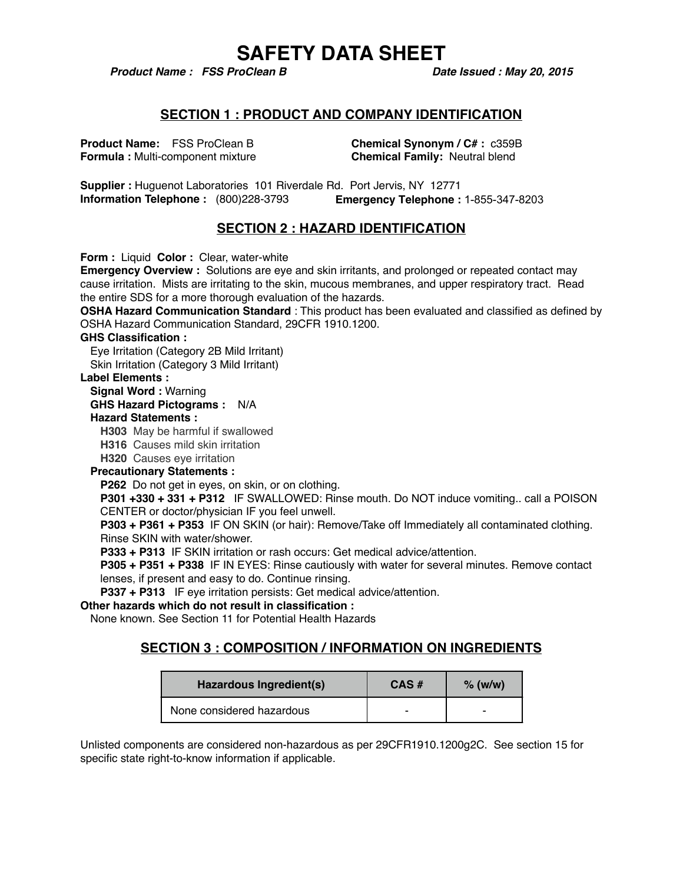*Product Name : FSS ProClean B* Date Issued : May 20, 2015

### **SECTION 1 : PRODUCT AND COMPANY IDENTIFICATION**

**Product Name:** FSS ProClean B **Chemical Synonym / C# :** c359B **Formula : Multi-component mixture <b>Chemical Family:** Neutral blend

**Supplier :** Huguenot Laboratories 101 Riverdale Rd. Port Jervis, NY 12771 **Information Telephone :** (800)228-3793 **Emergency Telephone :** 1-855-347-8203

## **SECTION 2 : HAZARD IDENTIFICATION**

**Form :** Liquid **Color :** Clear, water-white

**Emergency Overview :** Solutions are eye and skin irritants, and prolonged or repeated contact may cause irritation. Mists are irritating to the skin, mucous membranes, and upper respiratory tract. Read the entire SDS for a more thorough evaluation of the hazards.

**OSHA Hazard Communication Standard** : This product has been evaluated and classified as defined by OSHA Hazard Communication Standard, 29CFR 1910.1200.

### **GHS Classification :**

Eye Irritation (Category 2B Mild Irritant) Skin Irritation (Category 3 Mild Irritant)

### **Label Elements :**

### **Signal Word :** Warning

**GHS Hazard Pictograms :** N/A

### **Hazard Statements :**

**H303** May be harmful if swallowed

**H316** Causes mild skin irritation

**H320** Causes eye irritation

### **Precautionary Statements :**

**P262** Do not get in eyes, on skin, or on clothing.

**P301 +330 + 331 + P312** IF SWALLOWED: Rinse mouth. Do NOT induce vomiting.. call a POISON CENTER or doctor/physician IF you feel unwell.

**P303 + P361 + P353** IF ON SKIN (or hair): Remove/Take off Immediately all contaminated clothing. Rinse SKIN with water/shower.

**P333 + P313** IF SKIN irritation or rash occurs: Get medical advice/attention.

**P305 + P351 + P338** IF IN EYES: Rinse cautiously with water for several minutes. Remove contact lenses, if present and easy to do. Continue rinsing.

**P337 + P313** IF eye irritation persists: Get medical advice/attention.

### **Other hazards which do not result in classification :**

None known. See Section 11 for Potential Health Hazards

### **SECTION 3 : COMPOSITION / INFORMATION ON INGREDIENTS**

| Hazardous Ingredient(s)   | $CAS \#$ | $%$ (w/w) |
|---------------------------|----------|-----------|
| None considered hazardous |          | ۰         |

Unlisted components are considered non-hazardous as per 29CFR1910.1200g2C. See section 15 for specific state right-to-know information if applicable.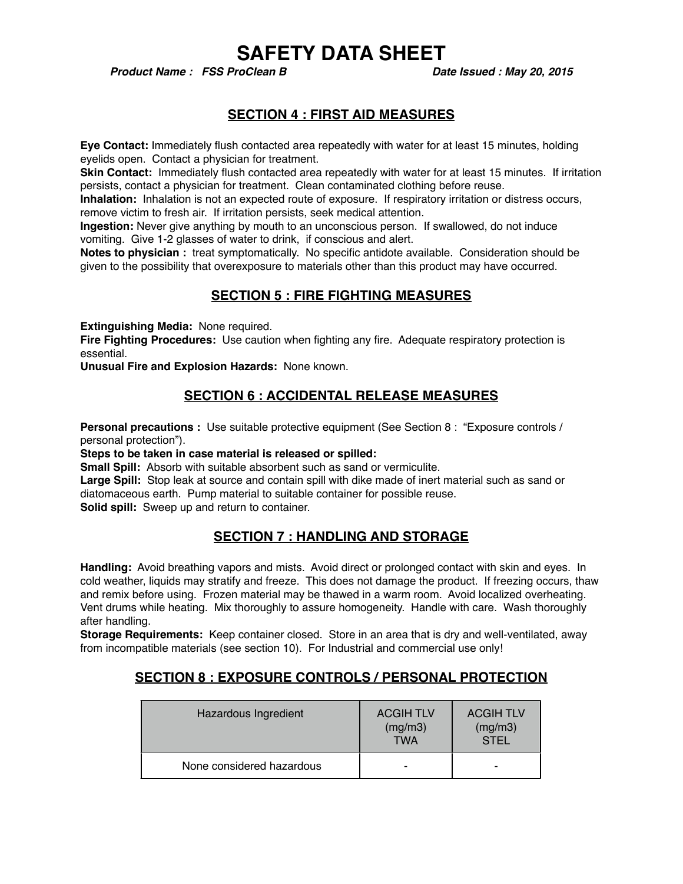*Product Name : FSS ProClean B* Date Issued : May 20, 2015

## **SECTION 4 : FIRST AID MEASURES**

**Eye Contact:** Immediately flush contacted area repeatedly with water for at least 15 minutes, holding eyelids open. Contact a physician for treatment.

**Skin Contact:** Immediately flush contacted area repeatedly with water for at least 15 minutes. If irritation persists, contact a physician for treatment. Clean contaminated clothing before reuse.

**Inhalation:** Inhalation is not an expected route of exposure. If respiratory irritation or distress occurs, remove victim to fresh air. If irritation persists, seek medical attention.

**Ingestion:** Never give anything by mouth to an unconscious person. If swallowed, do not induce vomiting. Give 1-2 glasses of water to drink, if conscious and alert.

**Notes to physician :** treat symptomatically. No specific antidote available. Consideration should be given to the possibility that overexposure to materials other than this product may have occurred.

## **SECTION 5 : FIRE FIGHTING MEASURES**

**Extinguishing Media:** None required.

**Fire Fighting Procedures:** Use caution when fighting any fire. Adequate respiratory protection is essential.

**Unusual Fire and Explosion Hazards:** None known.

### **SECTION 6 : ACCIDENTAL RELEASE MEASURES**

**Personal precautions :** Use suitable protective equipment (See Section 8 : "Exposure controls / personal protection").

**Steps to be taken in case material is released or spilled:**

**Small Spill:** Absorb with suitable absorbent such as sand or vermiculite.

**Large Spill:** Stop leak at source and contain spill with dike made of inert material such as sand or diatomaceous earth. Pump material to suitable container for possible reuse.

**Solid spill:** Sweep up and return to container.

## **SECTION 7 : HANDLING AND STORAGE**

**Handling:** Avoid breathing vapors and mists. Avoid direct or prolonged contact with skin and eyes. In cold weather, liquids may stratify and freeze. This does not damage the product. If freezing occurs, thaw and remix before using. Frozen material may be thawed in a warm room. Avoid localized overheating. Vent drums while heating. Mix thoroughly to assure homogeneity. Handle with care. Wash thoroughly after handling.

**Storage Requirements:** Keep container closed. Store in an area that is dry and well-ventilated, away from incompatible materials (see section 10). For Industrial and commercial use only!

### **SECTION 8 : EXPOSURE CONTROLS / PERSONAL PROTECTION**

| Hazardous Ingredient      | <b>ACGIH TLV</b><br>(mg/m3)<br><b>TWA</b> | <b>ACGIH TLV</b><br>(mg/m3)<br><b>STEL</b> |
|---------------------------|-------------------------------------------|--------------------------------------------|
| None considered hazardous |                                           | ۰                                          |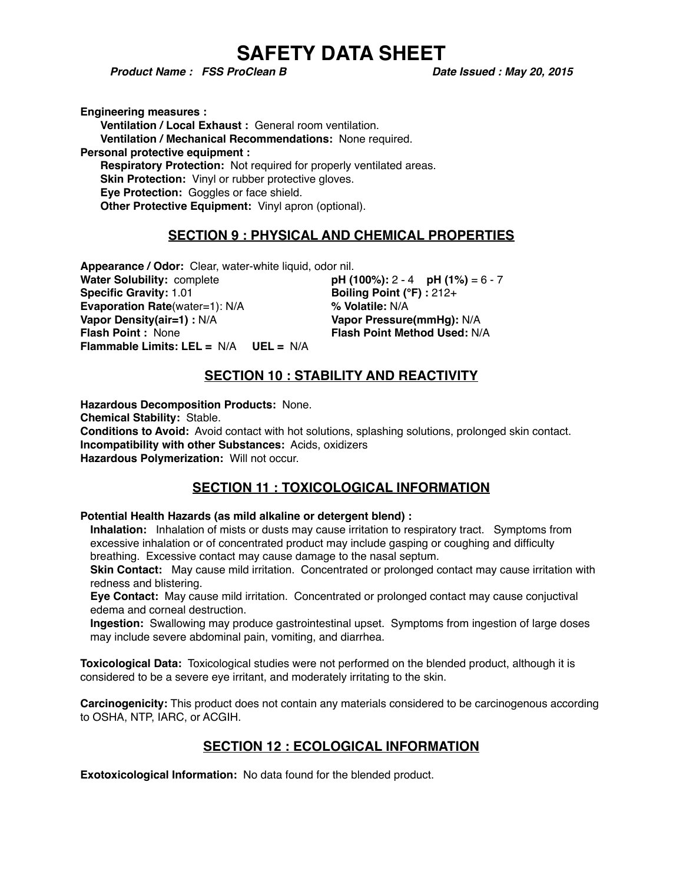*Product Name : FSS ProClean B* Date Issued : May 20, 2015

**Engineering measures : Ventilation / Local Exhaust :** General room ventilation. **Ventilation / Mechanical Recommendations:** None required. **Personal protective equipment : Respiratory Protection:** Not required for properly ventilated areas. **Skin Protection:** Vinyl or rubber protective gloves. **Eye Protection:** Goggles or face shield. **Other Protective Equipment:** Vinyl apron (optional).

### **SECTION 9 : PHYSICAL AND CHEMICAL PROPERTIES**

**Appearance / Odor:** Clear, water-white liquid, odor nil. **Water Solubility:** complete **pH (100%):** 2 - 4 **pH (1%)** = 6 - 7 **Specific Gravity:** 1.01 **Boiling Point (°F)** : 212+ **Evaporation Rate**(water=1): N/A **% Volatile:** N/A **Vapor Density(air=1) :** N/A **Vapor Pressure(mmHg):** N/A **Flash Point :** None **Flash Point Method Used:** N/A **Flammable Limits: LEL =** N/A **UEL =** N/A

## **SECTION 10 : STABILITY AND REACTIVITY**

**Hazardous Decomposition Products:** None. **Chemical Stability:** Stable. **Conditions to Avoid:** Avoid contact with hot solutions, splashing solutions, prolonged skin contact. **Incompatibility with other Substances:** Acids, oxidizers **Hazardous Polymerization:** Will not occur.

## **SECTION 11 : TOXICOLOGICAL INFORMATION**

### **Potential Health Hazards (as mild alkaline or detergent blend) :**

**Inhalation:** Inhalation of mists or dusts may cause irritation to respiratory tract. Symptoms from excessive inhalation or of concentrated product may include gasping or coughing and difficulty breathing. Excessive contact may cause damage to the nasal septum.

**Skin Contact:** May cause mild irritation. Concentrated or prolonged contact may cause irritation with redness and blistering.

**Eye Contact:** May cause mild irritation. Concentrated or prolonged contact may cause conjuctival edema and corneal destruction.

**Ingestion:** Swallowing may produce gastrointestinal upset. Symptoms from ingestion of large doses may include severe abdominal pain, vomiting, and diarrhea.

**Toxicological Data:** Toxicological studies were not performed on the blended product, although it is considered to be a severe eye irritant, and moderately irritating to the skin.

**Carcinogenicity:** This product does not contain any materials considered to be carcinogenous according to OSHA, NTP, IARC, or ACGIH.

## **SECTION 12 : ECOLOGICAL INFORMATION**

**Exotoxicological Information:** No data found for the blended product.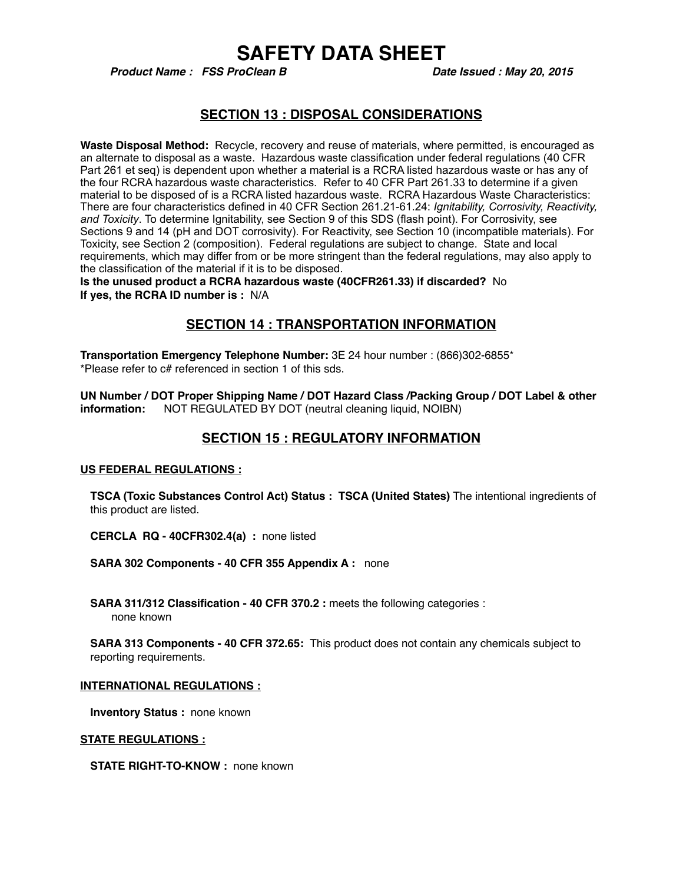*Product Name : FSS ProClean B* Date Issued : May 20, 2015

### **SECTION 13 : DISPOSAL CONSIDERATIONS**

**Waste Disposal Method:** Recycle, recovery and reuse of materials, where permitted, is encouraged as an alternate to disposal as a waste. Hazardous waste classification under federal regulations (40 CFR Part 261 et seq) is dependent upon whether a material is a RCRA listed hazardous waste or has any of the four RCRA hazardous waste characteristics. Refer to 40 CFR Part 261.33 to determine if a given material to be disposed of is a RCRA listed hazardous waste. RCRA Hazardous Waste Characteristics: There are four characteristics defined in 40 CFR Section 261.21-61.24: *Ignitability, Corrosivity, Reactivity, and Toxicity*. To determine Ignitability, see Section 9 of this SDS (flash point). For Corrosivity, see Sections 9 and 14 (pH and DOT corrosivity). For Reactivity, see Section 10 (incompatible materials). For Toxicity, see Section 2 (composition). Federal regulations are subject to change. State and local requirements, which may differ from or be more stringent than the federal regulations, may also apply to the classification of the material if it is to be disposed.

**Is the unused product a RCRA hazardous waste (40CFR261.33) if discarded?** No **If yes, the RCRA ID number is :** N/A

### **SECTION 14 : TRANSPORTATION INFORMATION**

**Transportation Emergency Telephone Number:** 3E 24 hour number : (866)302-6855\* \*Please refer to c# referenced in section 1 of this sds.

**UN Number / DOT Proper Shipping Name / DOT Hazard Class /Packing Group / DOT Label & other information:** NOT REGULATED BY DOT (neutral cleaning liquid, NOIBN)

### **SECTION 15 : REGULATORY INFORMATION**

### **US FEDERAL REGULATIONS :**

**TSCA (Toxic Substances Control Act) Status : TSCA (United States)** The intentional ingredients of this product are listed.

**CERCLA RQ - 40CFR302.4(a) :** none listed

**SARA 302 Components - 40 CFR 355 Appendix A :** none

**SARA 311/312 Classification - 40 CFR 370.2 : meets the following categories :** none known

**SARA 313 Components - 40 CFR 372.65:** This product does not contain any chemicals subject to reporting requirements.

#### **INTERNATIONAL REGULATIONS :**

**Inventory Status :** none known

**STATE REGULATIONS :**

**STATE RIGHT-TO-KNOW: none known**